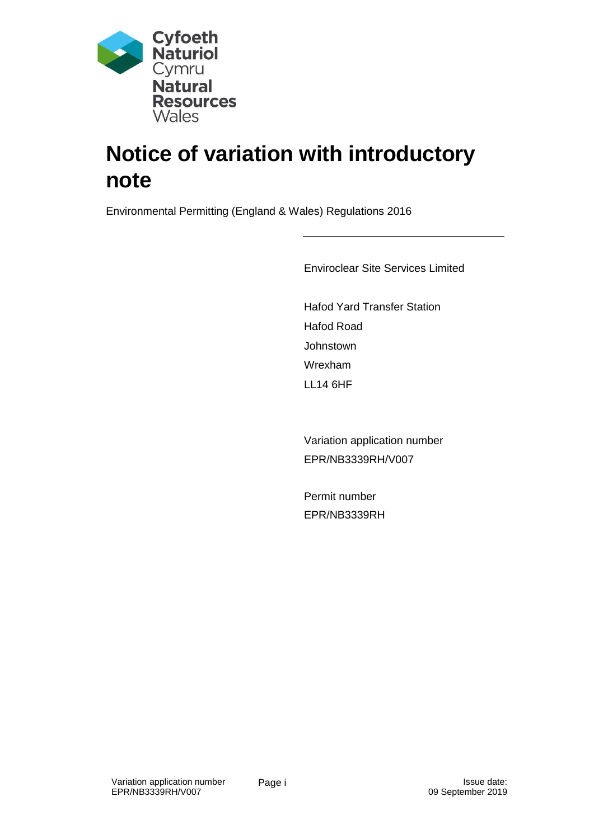

# **Notice of variation with introductory note**

Environmental Permitting (England & Wales) Regulations 2016

Enviroclear Site Services Limited

Hafod Yard Transfer Station Hafod Road **Johnstown** Wrexham LL14 6HF

Variation application number EPR/NB3339RH/V007

Permit number EPR/NB3339RH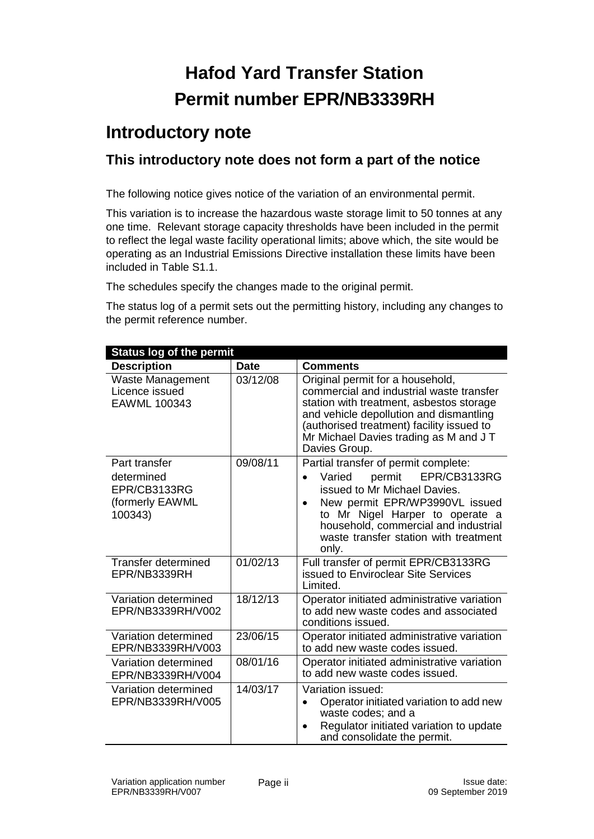## **Hafod Yard Transfer Station Permit number EPR/NB3339RH**

### **Introductory note**

### **This introductory note does not form a part of the notice**

The following notice gives notice of the variation of an environmental permit.

This variation is to increase the hazardous waste storage limit to 50 tonnes at any one time. Relevant storage capacity thresholds have been included in the permit to reflect the legal waste facility operational limits; above which, the site would be operating as an Industrial Emissions Directive installation these limits have been included in Table S1.1.

The schedules specify the changes made to the original permit.

The status log of a permit sets out the permitting history, including any changes to the permit reference number.

| <b>Status log of the permit</b>                                           |             |                                                                                                                                                                                                                                                                                      |  |
|---------------------------------------------------------------------------|-------------|--------------------------------------------------------------------------------------------------------------------------------------------------------------------------------------------------------------------------------------------------------------------------------------|--|
| <b>Description</b>                                                        | <b>Date</b> | <b>Comments</b>                                                                                                                                                                                                                                                                      |  |
| <b>Waste Management</b><br>Licence issued<br>EAWML 100343                 | 03/12/08    | Original permit for a household,<br>commercial and industrial waste transfer<br>station with treatment, asbestos storage<br>and vehicle depollution and dismantling<br>(authorised treatment) facility issued to<br>Mr Michael Davies trading as M and JT<br>Davies Group.           |  |
| Part transfer<br>determined<br>EPR/CB3133RG<br>(formerly EAWML<br>100343) | 09/08/11    | Partial transfer of permit complete:<br>EPR/CB3133RG<br>Varied<br>permit<br>$\bullet$<br>issued to Mr Michael Davies.<br>New permit EPR/WP3990VL issued<br>to Mr Nigel Harper to operate a<br>household, commercial and industrial<br>waste transfer station with treatment<br>only. |  |
| <b>Transfer determined</b><br>EPR/NB3339RH                                | 01/02/13    | Full transfer of permit EPR/CB3133RG<br>issued to Enviroclear Site Services<br>Limited.                                                                                                                                                                                              |  |
| Variation determined<br>EPR/NB3339RH/V002                                 | 18/12/13    | Operator initiated administrative variation<br>to add new waste codes and associated<br>conditions issued.                                                                                                                                                                           |  |
| Variation determined<br>EPR/NB3339RH/V003                                 | 23/06/15    | Operator initiated administrative variation<br>to add new waste codes issued.                                                                                                                                                                                                        |  |
| Variation determined<br>EPR/NB3339RH/V004                                 | 08/01/16    | Operator initiated administrative variation<br>to add new waste codes issued.                                                                                                                                                                                                        |  |
| Variation determined<br>EPR/NB3339RH/V005                                 | 14/03/17    | Variation issued:<br>Operator initiated variation to add new<br>waste codes; and a<br>Regulator initiated variation to update<br>and consolidate the permit.                                                                                                                         |  |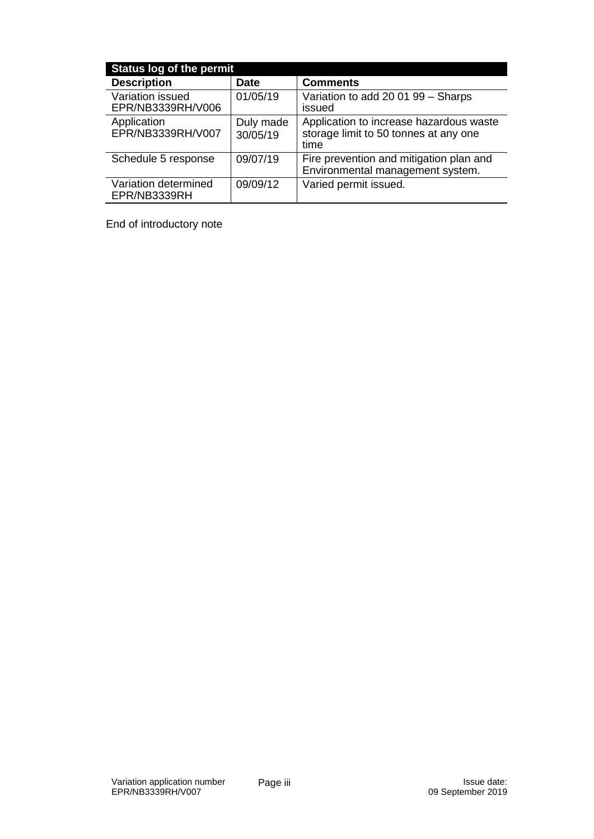| <b>Status log of the permit</b>       |                       |                                                                                          |  |
|---------------------------------------|-----------------------|------------------------------------------------------------------------------------------|--|
| <b>Description</b>                    | <b>Date</b>           | <b>Comments</b>                                                                          |  |
| Variation issued<br>EPR/NB3339RH/V006 | 01/05/19              | Variation to add 20 01 99 - Sharps<br>issued                                             |  |
| Application<br>EPR/NB3339RH/V007      | Duly made<br>30/05/19 | Application to increase hazardous waste<br>storage limit to 50 tonnes at any one<br>time |  |
| Schedule 5 response                   | 09/07/19              | Fire prevention and mitigation plan and<br>Environmental management system.              |  |
| Variation determined<br>EPR/NB3339RH  | 09/09/12              | Varied permit issued.                                                                    |  |

End of introductory note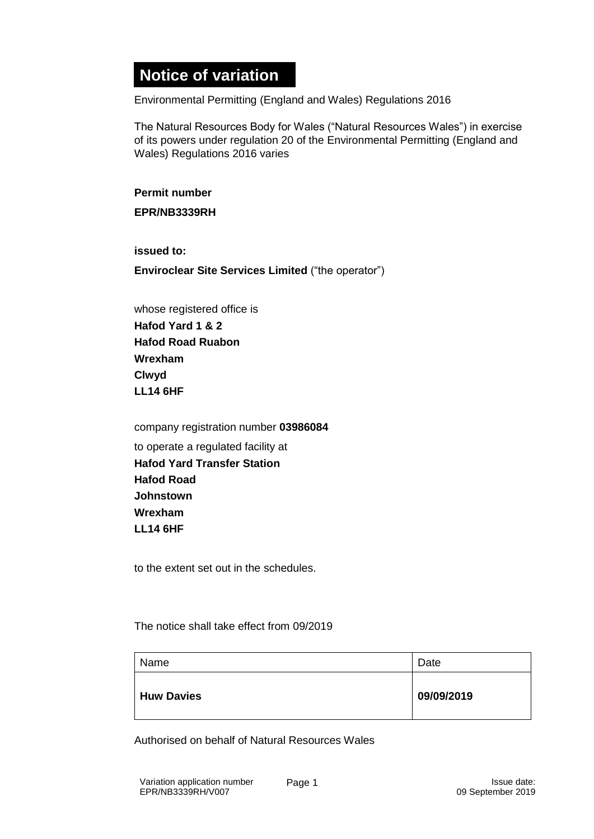## **Notice of variation**

Environmental Permitting (England and Wales) Regulations 2016

The Natural Resources Body for Wales ("Natural Resources Wales") in exercise of its powers under regulation 20 of the Environmental Permitting (England and Wales) Regulations 2016 varies

**Permit number**

**EPR/NB3339RH**

**issued to:**

**Enviroclear Site Services Limited** ("the operator")

whose registered office is **Hafod Yard 1 & 2 Hafod Road Ruabon Wrexham Clwyd LL14 6HF**

company registration number **03986084** to operate a regulated facility at **Hafod Yard Transfer Station Hafod Road Johnstown Wrexham LL14 6HF**

to the extent set out in the schedules.

The notice shall take effect from 09/2019

| Name              | Date       |
|-------------------|------------|
| <b>Huw Davies</b> | 09/09/2019 |

Authorised on behalf of Natural Resources Wales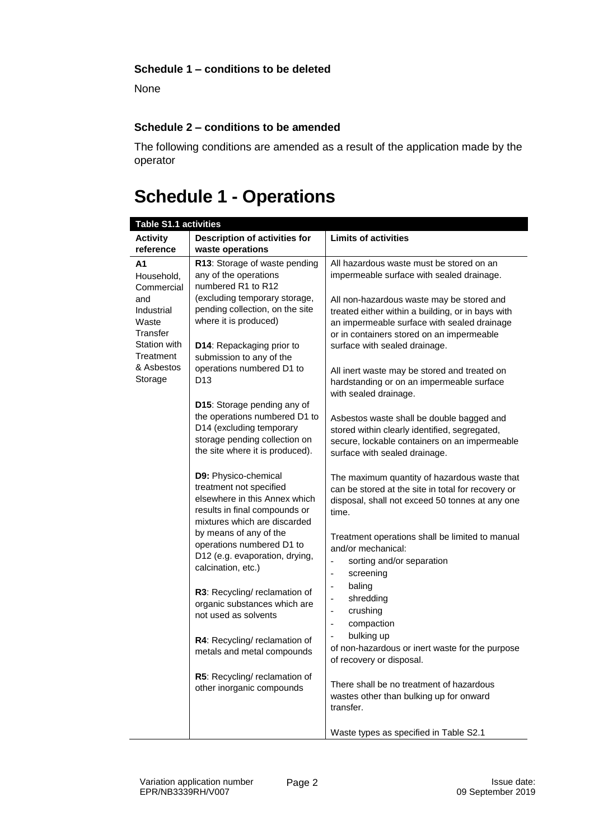#### **Schedule 1 – conditions to be deleted**

None

#### **Schedule 2 – conditions to be amended**

The following conditions are amended as a result of the application made by the operator

## **Schedule 1 - Operations**

| <b>Table S1.1 activities</b>                           |                                                                                                                                                              |                                                                                                                                                                                                                             |
|--------------------------------------------------------|--------------------------------------------------------------------------------------------------------------------------------------------------------------|-----------------------------------------------------------------------------------------------------------------------------------------------------------------------------------------------------------------------------|
| <b>Activity</b>                                        | Description of activities for                                                                                                                                | <b>Limits of activities</b>                                                                                                                                                                                                 |
| reference                                              | waste operations                                                                                                                                             |                                                                                                                                                                                                                             |
| Α1<br>Household,<br>Commercial                         | R13: Storage of waste pending<br>any of the operations<br>numbered R1 to R12                                                                                 | All hazardous waste must be stored on an<br>impermeable surface with sealed drainage.                                                                                                                                       |
| and<br>Industrial<br>Waste<br>Transfer<br>Station with | (excluding temporary storage,<br>pending collection, on the site<br>where it is produced)<br>D14: Repackaging prior to                                       | All non-hazardous waste may be stored and<br>treated either within a building, or in bays with<br>an impermeable surface with sealed drainage<br>or in containers stored on an impermeable<br>surface with sealed drainage. |
| Treatment<br>& Asbestos<br>Storage                     | submission to any of the<br>operations numbered D1 to<br>D13                                                                                                 | All inert waste may be stored and treated on<br>hardstanding or on an impermeable surface<br>with sealed drainage.                                                                                                          |
|                                                        | D15: Storage pending any of<br>the operations numbered D1 to<br>D14 (excluding temporary<br>storage pending collection on<br>the site where it is produced). | Asbestos waste shall be double bagged and<br>stored within clearly identified, segregated,<br>secure, lockable containers on an impermeable<br>surface with sealed drainage.                                                |
|                                                        | D9: Physico-chemical<br>treatment not specified<br>elsewhere in this Annex which<br>results in final compounds or<br>mixtures which are discarded            | The maximum quantity of hazardous waste that<br>can be stored at the site in total for recovery or<br>disposal, shall not exceed 50 tonnes at any one<br>time.                                                              |
|                                                        | by means of any of the<br>operations numbered D1 to<br>D12 (e.g. evaporation, drying,<br>calcination, etc.)                                                  | Treatment operations shall be limited to manual<br>and/or mechanical:<br>sorting and/or separation<br>$\overline{\phantom{0}}$<br>screening<br>$\overline{\phantom{0}}$                                                     |
|                                                        | R3: Recycling/ reclamation of<br>organic substances which are<br>not used as solvents                                                                        | baling<br>$\overline{a}$<br>shredding<br>$\overline{\phantom{0}}$<br>crushing<br>$\overline{a}$<br>compaction<br>$\overline{a}$                                                                                             |
|                                                        | R4: Recycling/ reclamation of<br>metals and metal compounds                                                                                                  | bulking up<br>$\overline{\phantom{0}}$<br>of non-hazardous or inert waste for the purpose<br>of recovery or disposal.                                                                                                       |
|                                                        | R5: Recycling/ reclamation of<br>other inorganic compounds                                                                                                   | There shall be no treatment of hazardous<br>wastes other than bulking up for onward<br>transfer.                                                                                                                            |
|                                                        |                                                                                                                                                              | Waste types as specified in Table S2.1                                                                                                                                                                                      |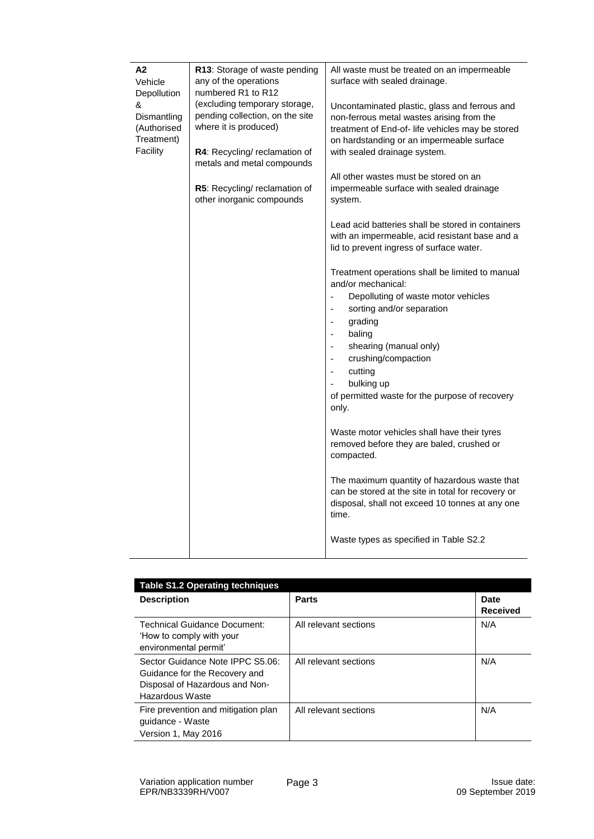| А2<br>Vehicle<br>Depollution                              | R13: Storage of waste pending<br>any of the operations<br>numbered R1 to R12                                               | All waste must be treated on an impermeable<br>surface with sealed drainage.                                                                                                                                                |
|-----------------------------------------------------------|----------------------------------------------------------------------------------------------------------------------------|-----------------------------------------------------------------------------------------------------------------------------------------------------------------------------------------------------------------------------|
| &<br>Dismantling<br>(Authorised<br>Treatment)<br>Facility | (excluding temporary storage,<br>pending collection, on the site<br>where it is produced)<br>R4: Recycling/ reclamation of | Uncontaminated plastic, glass and ferrous and<br>non-ferrous metal wastes arising from the<br>treatment of End-of- life vehicles may be stored<br>on hardstanding or an impermeable surface<br>with sealed drainage system. |
|                                                           | metals and metal compounds                                                                                                 |                                                                                                                                                                                                                             |
|                                                           | R5: Recycling/ reclamation of<br>other inorganic compounds                                                                 | All other wastes must be stored on an<br>impermeable surface with sealed drainage<br>system.                                                                                                                                |
|                                                           |                                                                                                                            | Lead acid batteries shall be stored in containers<br>with an impermeable, acid resistant base and a<br>lid to prevent ingress of surface water.                                                                             |
|                                                           |                                                                                                                            | Treatment operations shall be limited to manual<br>and/or mechanical:                                                                                                                                                       |
|                                                           |                                                                                                                            | Depolluting of waste motor vehicles<br>$\overline{a}$                                                                                                                                                                       |
|                                                           |                                                                                                                            | sorting and/or separation                                                                                                                                                                                                   |
|                                                           |                                                                                                                            | grading<br>$\overline{a}$                                                                                                                                                                                                   |
|                                                           |                                                                                                                            | baling<br>$\blacksquare$                                                                                                                                                                                                    |
|                                                           |                                                                                                                            | shearing (manual only)<br>$\overline{\phantom{a}}$                                                                                                                                                                          |
|                                                           |                                                                                                                            | crushing/compaction                                                                                                                                                                                                         |
|                                                           |                                                                                                                            | cutting<br>bulking up                                                                                                                                                                                                       |
|                                                           |                                                                                                                            | of permitted waste for the purpose of recovery<br>only.                                                                                                                                                                     |
|                                                           |                                                                                                                            | Waste motor vehicles shall have their tyres<br>removed before they are baled, crushed or<br>compacted.                                                                                                                      |
|                                                           |                                                                                                                            | The maximum quantity of hazardous waste that<br>can be stored at the site in total for recovery or<br>disposal, shall not exceed 10 tonnes at any one<br>time.                                                              |
|                                                           |                                                                                                                            | Waste types as specified in Table S2.2                                                                                                                                                                                      |

| <b>Table S1.2 Operating techniques</b>                                                                                 |                       |                         |
|------------------------------------------------------------------------------------------------------------------------|-----------------------|-------------------------|
| <b>Description</b>                                                                                                     | <b>Parts</b>          | Date<br><b>Received</b> |
| <b>Technical Guidance Document:</b><br>How to comply with your<br>environmental permit'                                | All relevant sections | N/A                     |
| Sector Guidance Note IPPC S5.06:<br>Guidance for the Recovery and<br>Disposal of Hazardous and Non-<br>Hazardous Waste | All relevant sections | N/A                     |
| Fire prevention and mitigation plan<br>quidance - Waste<br>Version 1, May 2016                                         | All relevant sections | N/A                     |